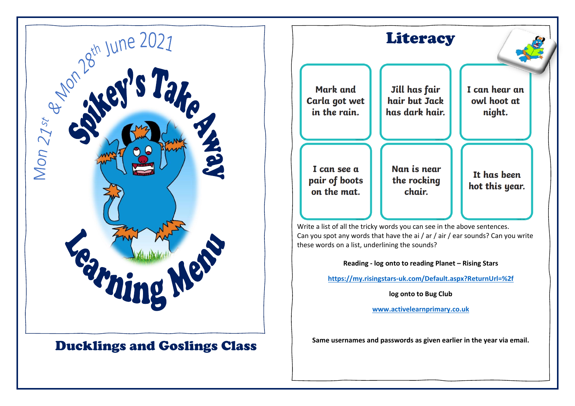

## Ducklings and Goslings Class



**<https://my.risingstars-uk.com/Default.aspx?ReturnUrl=%2f>**

**log onto to Bug Club**

**[www.activelearnprimary.co.uk](http://www.activelearnprimary.co.uk/)**

**Same usernames and passwords as given earlier in the year via email.**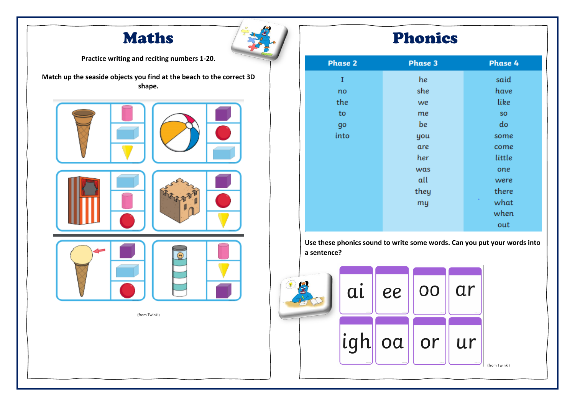



**Practice writing and reciting numbers 1-20.**

**Match up the seaside objects you find at the beach to the correct 3D shape.**



(from Twinkl)

## Phonics

| <b>Phase 2</b> | <b>Phase 3</b> | Phase 4   |
|----------------|----------------|-----------|
| I              | he             | said      |
| no             | she            | have      |
| the            | we             | like      |
| to             | me             | SO        |
| go             | be             | do        |
| into           | you            | some      |
|                | are            | come      |
|                | her            | little    |
|                | was            | one       |
|                | all            | were      |
|                | they           | there     |
|                | my             | ٠<br>what |
|                |                | when      |
|                |                | out       |

**Use these phonics sound to write some words. Can you put your words into a sentence?**